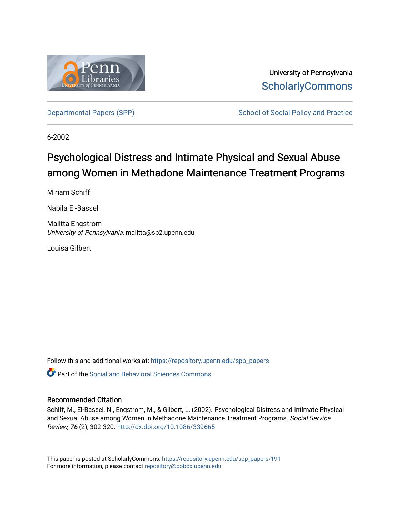

University of Pennsylvania **ScholarlyCommons** 

[Departmental Papers \(SPP\)](https://repository.upenn.edu/spp_papers) School of Social Policy and Practice

6-2002

# Psychological Distress and Intimate Physical and Sexual Abuse among Women in Methadone Maintenance Treatment Programs

Miriam Schiff

Nabila El-Bassel

Malitta Engstrom University of Pennsylvania, malitta@sp2.upenn.edu

Louisa Gilbert

Follow this and additional works at: [https://repository.upenn.edu/spp\\_papers](https://repository.upenn.edu/spp_papers?utm_source=repository.upenn.edu%2Fspp_papers%2F191&utm_medium=PDF&utm_campaign=PDFCoverPages) 

 $\bullet$  Part of the Social and Behavioral Sciences Commons

## Recommended Citation

Schiff, M., El-Bassel, N., Engstrom, M., & Gilbert, L. (2002). Psychological Distress and Intimate Physical and Sexual Abuse among Women in Methadone Maintenance Treatment Programs. Social Service Review, 76 (2), 302-320. <http://dx.doi.org/10.1086/339665>

This paper is posted at ScholarlyCommons. [https://repository.upenn.edu/spp\\_papers/191](https://repository.upenn.edu/spp_papers/191)  For more information, please contact [repository@pobox.upenn.edu.](mailto:repository@pobox.upenn.edu)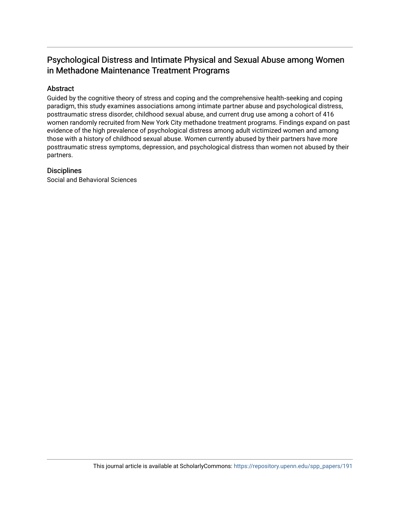# Psychological Distress and Intimate Physical and Sexual Abuse among Women in Methadone Maintenance Treatment Programs

## Abstract

Guided by the cognitive theory of stress and coping and the comprehensive health‐seeking and coping paradigm, this study examines associations among intimate partner abuse and psychological distress, posttraumatic stress disorder, childhood sexual abuse, and current drug use among a cohort of 416 women randomly recruited from New York City methadone treatment programs. Findings expand on past evidence of the high prevalence of psychological distress among adult victimized women and among those with a history of childhood sexual abuse. Women currently abused by their partners have more posttraumatic stress symptoms, depression, and psychological distress than women not abused by their partners.

## **Disciplines**

Social and Behavioral Sciences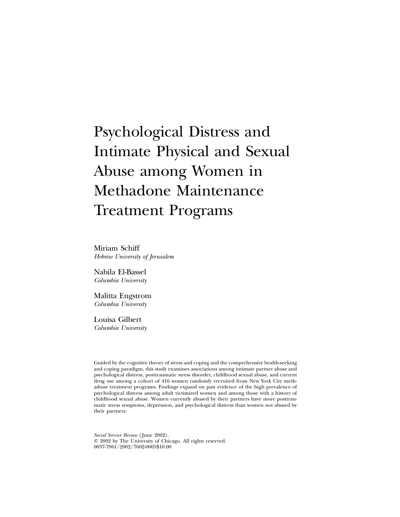# Psychological Distress and Intimate Physical and Sexual Abuse among Women in Methadone Maintenance Treatment Programs

Miriam Schiff *Hebrew University of Jerusalem*

Nabila El-Bassel *Columbia University*

Malitta Engstrom *Columbia University*

Louisa Gilbert *Columbia University*

Guided by the cognitive theory of stress and coping and the comprehensive health-seeking and coping paradigm, this study examines associations among intimate partner abuse and psychological distress, posttraumatic stress disorder, childhood sexual abuse, and current drug use among a cohort of 416 women randomly recruited from New York City methadone treatment programs. Findings expand on past evidence of the high prevalence of psychological distress among adult victimized women and among those with a history of childhood sexual abuse. Women currently abused by their partners have more posttraumatic stress symptoms, depression, and psychological distress than women not abused by their partners.

*Social Service Review* ( June 2002). 2002 by The University of Chicago. All rights reserved. 0037-7961/2002/7602-0005\$10.00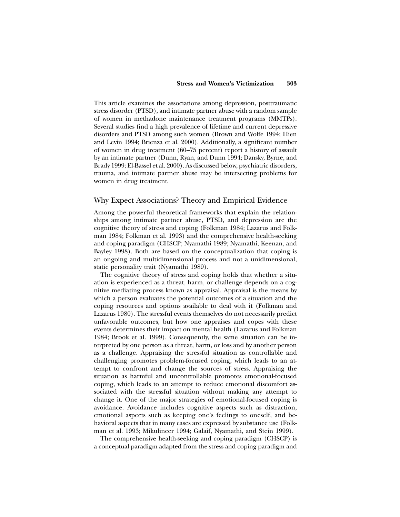This article examines the associations among depression, posttraumatic stress disorder (PTSD), and intimate partner abuse with a random sample of women in methadone maintenance treatment programs (MMTPs). Several studies find a high prevalence of lifetime and current depressive disorders and PTSD among such women (Brown and Wolfe 1994; Hien and Levin 1994; Brienza et al. 2000). Additionally, a significant number of women in drug treatment (60–75 percent) report a history of assault by an intimate partner (Dunn, Ryan, and Dunn 1994; Dansky, Byrne, and Brady 1999; El-Bassel et al. 2000). As discussed below, psychiatric disorders, trauma, and intimate partner abuse may be intersecting problems for women in drug treatment.

#### Why Expect Associations? Theory and Empirical Evidence

Among the powerful theoretical frameworks that explain the relationships among intimate partner abuse, PTSD, and depression are the cognitive theory of stress and coping (Folkman 1984; Lazarus and Folkman 1984; Folkman et al. 1993) and the comprehensive health-seeking and coping paradigm (CHSCP; Nyamathi 1989; Nyamathi, Keenan, and Bayley 1998). Both are based on the conceptualization that coping is an ongoing and multidimensional process and not a unidimensional, static personality trait (Nyamathi 1989).

The cognitive theory of stress and coping holds that whether a situation is experienced as a threat, harm, or challenge depends on a cognitive mediating process known as appraisal. Appraisal is the means by which a person evaluates the potential outcomes of a situation and the coping resources and options available to deal with it (Folkman and Lazarus 1980). The stressful events themselves do not necessarily predict unfavorable outcomes, but how one appraises and copes with these events determines their impact on mental health (Lazarus and Folkman 1984; Brook et al. 1999). Consequently, the same situation can be interpreted by one person as a threat, harm, or loss and by another person as a challenge. Appraising the stressful situation as controllable and challenging promotes problem-focused coping, which leads to an attempt to confront and change the sources of stress. Appraising the situation as harmful and uncontrollable promotes emotional-focused coping, which leads to an attempt to reduce emotional discomfort associated with the stressful situation without making any attempt to change it. One of the major strategies of emotional-focused coping is avoidance. Avoidance includes cognitive aspects such as distraction, emotional aspects such as keeping one's feelings to oneself, and behavioral aspects that in many cases are expressed by substance use (Folkman et al. 1993; Mikulincer 1994; Galaif, Nyamathi, and Stein 1999).

The comprehensive health-seeking and coping paradigm (CHSCP) is a conceptual paradigm adapted from the stress and coping paradigm and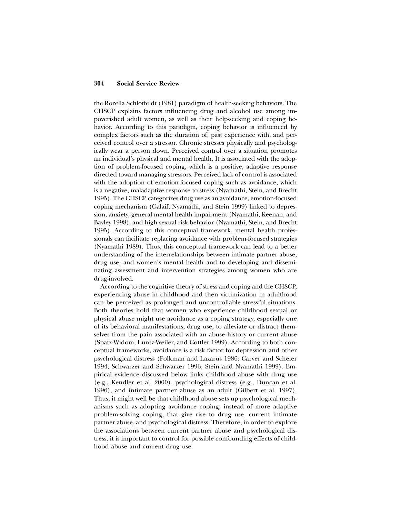the Rozella Schlotfeldt (1981) paradigm of health-seeking behaviors. The CHSCP explains factors influencing drug and alcohol use among impoverished adult women, as well as their help-seeking and coping behavior. According to this paradigm, coping behavior is influenced by complex factors such as the duration of, past experience with, and perceived control over a stressor. Chronic stresses physically and psychologically wear a person down. Perceived control over a situation promotes an individual's physical and mental health. It is associated with the adoption of problem-focused coping, which is a positive, adaptive response directed toward managing stressors. Perceived lack of control is associated with the adoption of emotion-focused coping such as avoidance, which is a negative, maladaptive response to stress (Nyamathi, Stein, and Brecht 1995). The CHSCP categorizes drug use as an avoidance, emotion-focused coping mechanism (Galaif, Nyamathi, and Stein 1999) linked to depression, anxiety, general mental health impairment (Nyamathi, Keenan, and Bayley 1998), and high sexual risk behavior (Nyamathi, Stein, and Brecht 1995). According to this conceptual framework, mental health professionals can facilitate replacing avoidance with problem-focused strategies (Nyamathi 1989). Thus, this conceptual framework can lead to a better understanding of the interrelationships between intimate partner abuse, drug use, and women's mental health and to developing and disseminating assessment and intervention strategies among women who are drug-involved.

According to the cognitive theory of stress and coping and the CHSCP, experiencing abuse in childhood and then victimization in adulthood can be perceived as prolonged and uncontrollable stressful situations. Both theories hold that women who experience childhood sexual or physical abuse might use avoidance as a coping strategy, especially one of its behavioral manifestations, drug use, to alleviate or distract themselves from the pain associated with an abuse history or current abuse (Spatz-Widom, Luntz-Weiler, and Cottler 1999). According to both conceptual frameworks, avoidance is a risk factor for depression and other psychological distress (Folkman and Lazarus 1986; Carver and Scheier 1994; Schwarzer and Schwarzer 1996; Stein and Nyamathi 1999). Empirical evidence discussed below links childhood abuse with drug use (e.g., Kendler et al. 2000), psychological distress (e.g., Duncan et al. 1996), and intimate partner abuse as an adult (Gilbert et al. 1997). Thus, it might well be that childhood abuse sets up psychological mechanisms such as adopting avoidance coping, instead of more adaptive problem-solving coping, that give rise to drug use, current intimate partner abuse, and psychological distress. Therefore, in order to explore the associations between current partner abuse and psychological distress, it is important to control for possible confounding effects of childhood abuse and current drug use.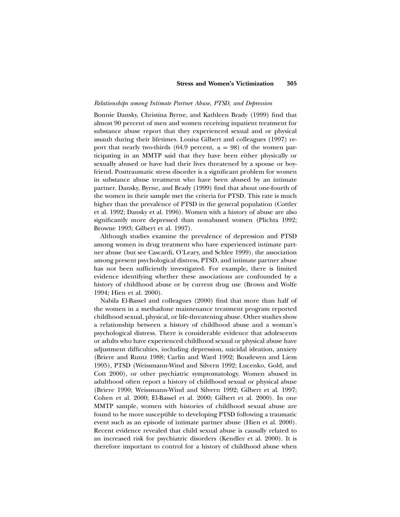#### *Relationships among Intimate Partner Abuse, PTSD, and Depression*

Bonnie Dansky, Christina Byrne, and Kathleen Brady (1999) find that almost 90 percent of men and women receiving inpatient treatment for substance abuse report that they experienced sexual and or physical assault during their lifetimes. Louisa Gilbert and colleagues (1997) report that nearly two-thirds (64.9 percent,  $n = 98$ ) of the women participating in an MMTP said that they have been either physically or sexually abused or have had their lives threatened by a spouse or boyfriend. Posttraumatic stress disorder is a significant problem for women in substance abuse treatment who have been abused by an intimate partner. Dansky, Byrne, and Brady (1999) find that about one-fourth of the women in their sample met the criteria for PTSD. This rate is much higher than the prevalence of PTSD in the general population (Cottler et al. 1992; Dansky et al. 1996). Women with a history of abuse are also significantly more depressed than nonabused women (Plichta 1992; Browne 1993; Gilbert et al. 1997).

Although studies examine the prevalence of depression and PTSD among women in drug treatment who have experienced intimate partner abuse (but see Cascardi, O'Leary, and Schlee 1999), the association among present psychological distress, PTSD, and intimate partner abuse has not been sufficiently investigated. For example, there is limited evidence identifying whether these associations are confounded by a history of childhood abuse or by current drug use (Brown and Wolfe 1994; Hien et al. 2000).

Nabila El-Bassel and colleagues (2000) find that more than half of the women in a methadone maintenance treatment program reported childhood sexual, physical, or life-threatening abuse. Other studies show a relationship between a history of childhood abuse and a woman's psychological distress. There is considerable evidence that adolescents or adults who have experienced childhood sexual or physical abuse have adjustment difficulties, including depression, suicidal ideation, anxiety (Briere and Runtz 1988; Carlin and Ward 1992; Boudewyn and Liem 1995), PTSD (Weissmann-Wind and Silvern 1992; Lucenko, Gold, and Cott 2000), or other psychiatric symptomatology. Women abused in adulthood often report a history of childhood sexual or physical abuse (Briere 1990; Weissmann-Wind and Silvern 1992; Gilbert et al. 1997; Cohen et al. 2000; El-Bassel et al. 2000; Gilbert et al. 2000). In one MMTP sample, women with histories of childhood sexual abuse are found to be more susceptible to developing PTSD following a traumatic event such as an episode of intimate partner abuse (Hien et al. 2000). Recent evidence revealed that child sexual abuse is causally related to an increased risk for psychiatric disorders (Kendler et al. 2000). It is therefore important to control for a history of childhood abuse when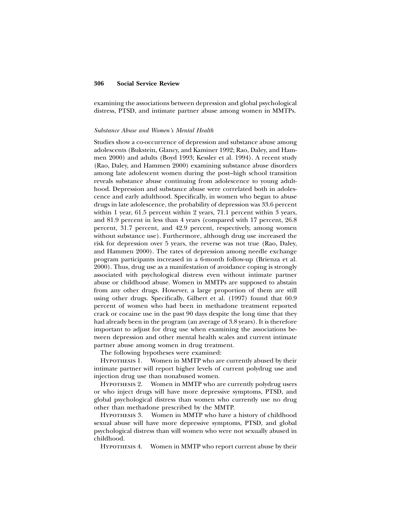examining the associations between depression and global psychological distress, PTSD, and intimate partner abuse among women in MMTPs.

#### *Substance Abuse and Women's Mental Health*

Studies show a co-occurrence of depression and substance abuse among adolescents (Bukstein, Glancy, and Kaminer 1992; Rao, Daley, and Hammen 2000) and adults (Boyd 1993; Kessler et al. 1994). A recent study (Rao, Daley, and Hammen 2000) examining substance abuse disorders among late adolescent women during the post–high school transition reveals substance abuse continuing from adolescence to young adulthood. Depression and substance abuse were correlated both in adolescence and early adulthood. Specifically, in women who began to abuse drugs in late adolescence, the probability of depression was 33.6 percent within 1 year, 61.5 percent within 2 years, 71.1 percent within 3 years, and 81.9 percent in less than 4 years (compared with 17 percent, 26.8 percent, 31.7 percent, and 42.9 percent, respectively, among women without substance use). Furthermore, although drug use increased the risk for depression over 5 years, the reverse was not true (Rao, Daley, and Hammen 2000). The rates of depression among needle exchange program participants increased in a 6-month follow-up (Brienza et al. 2000). Thus, drug use as a manifestation of avoidance coping is strongly associated with psychological distress even without intimate partner abuse or childhood abuse. Women in MMTPs are supposed to abstain from any other drugs. However, a large proportion of them are still using other drugs. Specifically, Gilbert et al. (1997) found that 60.9 percent of women who had been in methadone treatment reported crack or cocaine use in the past 90 days despite the long time that they had already been in the program (an average of 3.8 years). It is therefore important to adjust for drug use when examining the associations between depression and other mental health scales and current intimate partner abuse among women in drug treatment.

The following hypotheses were examined:

Hypothesis 1. Women in MMTP who are currently abused by their intimate partner will report higher levels of current polydrug use and injection drug use than nonabused women.

Hypothesis 2. Women in MMTP who are currently polydrug users or who inject drugs will have more depressive symptoms, PTSD, and global psychological distress than women who currently use no drug other than methadone prescribed by the MMTP.

Hypothesis 3. Women in MMTP who have a history of childhood sexual abuse will have more depressive symptoms, PTSD, and global psychological distress than will women who were not sexually abused in childhood.

Hypothesis 4. Women in MMTP who report current abuse by their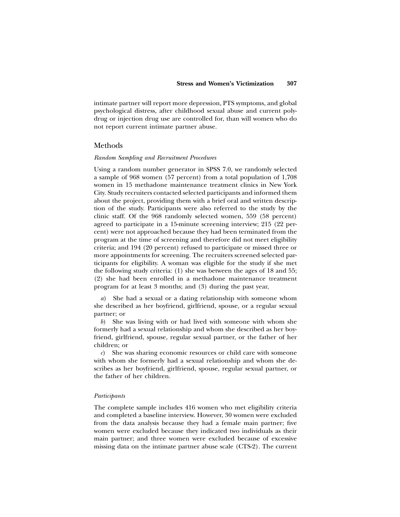intimate partner will report more depression, PTS symptoms, and global psychological distress, after childhood sexual abuse and current polydrug or injection drug use are controlled for, than will women who do not report current intimate partner abuse.

#### Methods

#### *Random Sampling and Recruitment Procedures*

Using a random number generator in SPSS 7.0, we randomly selected a sample of 968 women (57 percent) from a total population of 1,708 women in 15 methadone maintenance treatment clinics in New York City. Study recruiters contacted selected participants and informed them about the project, providing them with a brief oral and written description of the study. Participants were also referred to the study by the clinic staff. Of the 968 randomly selected women, 559 (58 percent) agreed to participate in a 15-minute screening interview; 215 (22 percent) were not approached because they had been terminated from the program at the time of screening and therefore did not meet eligibility criteria; and 194 (20 percent) refused to participate or missed three or more appointments for screening. The recruiters screened selected participants for eligibility. A woman was eligible for the study if she met the following study criteria: (1) she was between the ages of 18 and 55; (2) she had been enrolled in a methadone maintenance treatment program for at least 3 months; and (3) during the past year,

*a*) She had a sexual or a dating relationship with someone whom she described as her boyfriend, girlfriend, spouse, or a regular sexual partner; or

*b*) She was living with or had lived with someone with whom she formerly had a sexual relationship and whom she described as her boyfriend, girlfriend, spouse, regular sexual partner, or the father of her children; or

*c*) She was sharing economic resources or child care with someone with whom she formerly had a sexual relationship and whom she describes as her boyfriend, girlfriend, spouse, regular sexual partner, or the father of her children.

#### *Participants*

The complete sample includes 416 women who met eligibility criteria and completed a baseline interview. However, 30 women were excluded from the data analysis because they had a female main partner; five women were excluded because they indicated two individuals as their main partner; and three women were excluded because of excessive missing data on the intimate partner abuse scale (CTS-2). The current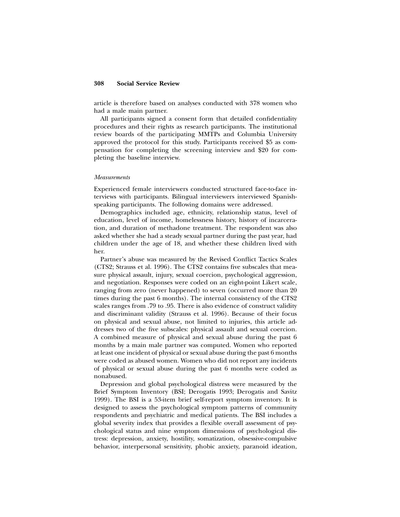article is therefore based on analyses conducted with 378 women who had a male main partner.

All participants signed a consent form that detailed confidentiality procedures and their rights as research participants. The institutional review boards of the participating MMTPs and Columbia University approved the protocol for this study. Participants received \$5 as compensation for completing the screening interview and \$20 for completing the baseline interview.

#### *Measurements*

Experienced female interviewers conducted structured face-to-face interviews with participants. Bilingual interviewers interviewed Spanishspeaking participants. The following domains were addressed.

Demographics included age, ethnicity, relationship status, level of education, level of income, homelessness history, history of incarceration, and duration of methadone treatment. The respondent was also asked whether she had a steady sexual partner during the past year, had children under the age of 18, and whether these children lived with her.

Partner's abuse was measured by the Revised Conflict Tactics Scales (CTS2; Strauss et al. 1996). The CTS2 contains five subscales that measure physical assault, injury, sexual coercion, psychological aggression, and negotiation. Responses were coded on an eight-point Likert scale, ranging from zero (never happened) to seven (occurred more than 20 times during the past 6 months). The internal consistency of the CTS2 scales ranges from .79 to .95. There is also evidence of construct validity and discriminant validity (Strauss et al. 1996). Because of their focus on physical and sexual abuse, not limited to injuries, this article addresses two of the five subscales: physical assault and sexual coercion. A combined measure of physical and sexual abuse during the past 6 months by a main male partner was computed. Women who reported at least one incident of physical or sexual abuse during the past 6 months were coded as abused women. Women who did not report any incidents of physical or sexual abuse during the past 6 months were coded as nonabused.

Depression and global psychological distress were measured by the Brief Symptom Inventory (BSI; Derogatis 1993; Derogatis and Savitz 1999). The BSI is a 53-item brief self-report symptom inventory. It is designed to assess the psychological symptom patterns of community respondents and psychiatric and medical patients. The BSI includes a global severity index that provides a flexible overall assessment of psychological status and nine symptom dimensions of psychological distress: depression, anxiety, hostility, somatization, obsessive-compulsive behavior, interpersonal sensitivity, phobic anxiety, paranoid ideation,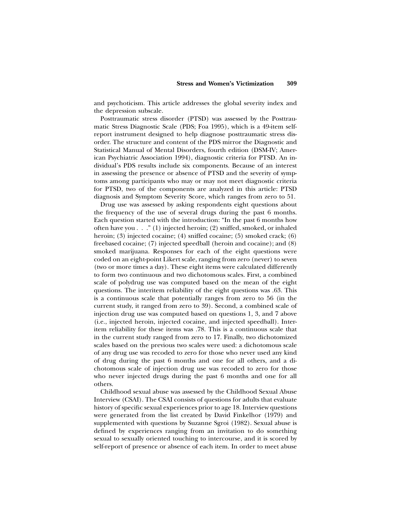and psychoticism. This article addresses the global severity index and the depression subscale.

Posttraumatic stress disorder (PTSD) was assessed by the Posttraumatic Stress Diagnostic Scale (PDS; Foa 1995), which is a 49-item selfreport instrument designed to help diagnose posttraumatic stress disorder. The structure and content of the PDS mirror the Diagnostic and Statistical Manual of Mental Disorders, fourth edition (DSM-IV; American Psychiatric Association 1994), diagnostic criteria for PTSD. An individual's PDS results include six components. Because of an interest in assessing the presence or absence of PTSD and the severity of symptoms among participants who may or may not meet diagnostic criteria for PTSD, two of the components are analyzed in this article: PTSD diagnosis and Symptom Severity Score, which ranges from zero to 51.

Drug use was assessed by asking respondents eight questions about the frequency of the use of several drugs during the past 6 months. Each question started with the introduction: "In the past 6 months how often have you . . ." (1) injected heroin; (2) sniffed, smoked, or inhaled heroin; (3) injected cocaine; (4) sniffed cocaine; (5) smoked crack; (6) freebased cocaine; (7) injected speedball (heroin and cocaine); and (8) smoked marijuana. Responses for each of the eight questions were coded on an eight-point Likert scale, ranging from zero (never) to seven (two or more times a day). These eight items were calculated differently to form two continuous and two dichotomous scales. First, a combined scale of polydrug use was computed based on the mean of the eight questions. The interitem reliability of the eight questions was .63. This is a continuous scale that potentially ranges from zero to 56 (in the current study, it ranged from zero to 39). Second, a combined scale of injection drug use was computed based on questions 1, 3, and 7 above (i.e., injected heroin, injected cocaine, and injected speedball). Interitem reliability for these items was .78. This is a continuous scale that in the current study ranged from zero to 17. Finally, two dichotomized scales based on the previous two scales were used: a dichotomous scale of any drug use was recoded to zero for those who never used any kind of drug during the past 6 months and one for all others, and a dichotomous scale of injection drug use was recoded to zero for those who never injected drugs during the past 6 months and one for all others.

Childhood sexual abuse was assessed by the Childhood Sexual Abuse Interview (CSAI). The CSAI consists of questions for adults that evaluate history of specific sexual experiences prior to age 18. Interview questions were generated from the list created by David Finkelhor (1979) and supplemented with questions by Suzanne Sgroi (1982). Sexual abuse is defined by experiences ranging from an invitation to do something sexual to sexually oriented touching to intercourse, and it is scored by self-report of presence or absence of each item. In order to meet abuse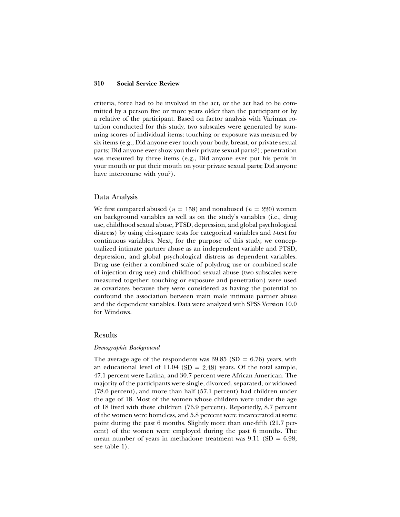criteria, force had to be involved in the act, or the act had to be committed by a person five or more years older than the participant or by a relative of the participant. Based on factor analysis with Varimax rotation conducted for this study, two subscales were generated by summing scores of individual items: touching or exposure was measured by six items (e.g., Did anyone ever touch your body, breast, or private sexual parts; Did anyone ever show you their private sexual parts?); penetration was measured by three items (e.g., Did anyone ever put his penis in your mouth or put their mouth on your private sexual parts; Did anyone have intercourse with you?).

#### Data Analysis

We first compared abused ( $n = 158$ ) and nonabused ( $n = 220$ ) women on background variables as well as on the study's variables (i.e., drug use, childhood sexual abuse, PTSD, depression, and global psychological distress) by using chi-square tests for categorical variables and *t*-test for continuous variables. Next, for the purpose of this study, we conceptualized intimate partner abuse as an independent variable and PTSD, depression, and global psychological distress as dependent variables. Drug use (either a combined scale of polydrug use or combined scale of injection drug use) and childhood sexual abuse (two subscales were measured together: touching or exposure and penetration) were used as covariates because they were considered as having the potential to confound the association between main male intimate partner abuse and the dependent variables. Data were analyzed with SPSS Version 10.0 for Windows.

#### Results

#### *Demographic Background*

The average age of the respondents was  $39.85$  (SD = 6.76) years, with an educational level of  $11.04$  (SD = 2.48) years. Of the total sample, 47.1 percent were Latina, and 30.7 percent were African American. The majority of the participants were single, divorced, separated, or widowed (78.6 percent), and more than half (57.1 percent) had children under the age of 18. Most of the women whose children were under the age of 18 lived with these children (76.9 percent). Reportedly, 8.7 percent of the women were homeless, and 5.8 percent were incarcerated at some point during the past 6 months. Slightly more than one-fifth (21.7 percent) of the women were employed during the past 6 months. The mean number of years in methadone treatment was  $9.11 \text{ (SD} = 6.98;$ see table 1).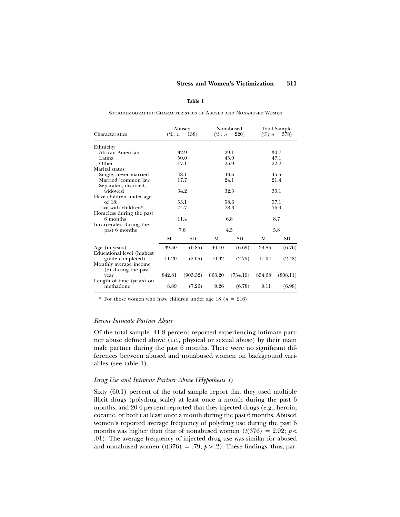#### **Table 1**

Sociodemographic Characteristics of Abused and Nonabused Women

| Characteristics                        | Abused<br>$(\%; n = 158)$ |           | Nonabused<br>$(\%; n = 220)$ |           | Total Sample<br>$(\%; n = 378)$ |           |  |
|----------------------------------------|---------------------------|-----------|------------------------------|-----------|---------------------------------|-----------|--|
| Ethnicity:                             |                           |           |                              |           |                                 |           |  |
| African American                       |                           | 32.9      | 29.1                         |           | 30.7                            |           |  |
| Latina                                 |                           | 50.0      |                              | 45.0      | 47.1                            |           |  |
| Other                                  |                           | 17.1      | 25.9                         |           | 22.2                            |           |  |
| Marital status:                        |                           |           |                              |           |                                 |           |  |
| Single, never married                  |                           | 48.1      | 43.6                         |           | 45.5                            |           |  |
| Married/common law                     |                           | 17.7      |                              | 24.1      |                                 | 21.4      |  |
| Separated, divorced,                   |                           |           |                              |           |                                 |           |  |
| widowed                                | 34.2                      |           | 32.3                         |           | 33.1                            |           |  |
| Have children under age                |                           |           |                              |           |                                 |           |  |
| of $18:$                               | 55.1                      |           | 58.6                         |           | 57.1                            |           |  |
| Live with children*                    | 74.7                      |           | 78.3                         |           | 76.9                            |           |  |
| Homeless during the past               |                           |           |                              |           |                                 |           |  |
| 6 months                               | 11.4                      |           | 6.8                          |           |                                 | 8.7       |  |
| Incarcerated during the                |                           |           |                              |           |                                 |           |  |
| past 6 months                          | 7.6                       |           | 4.5                          |           | 5.8                             |           |  |
|                                        | М                         | <b>SD</b> | M                            | <b>SD</b> | М                               | <b>SD</b> |  |
| Age (in years)                         | 39.50                     | (6.85)    | 40.10                        | (6.69)    | 39.85                           | (6.76)    |  |
| Educational level (highest             |                           |           |                              |           |                                 |           |  |
| grade completed)                       | 11.20                     | (2.05)    | 10.92                        | (2.75)    | 11.04                           | (2.48)    |  |
| Monthly average income                 |                           |           |                              |           |                                 |           |  |
| (\$) during the past                   |                           |           |                              |           |                                 |           |  |
| year                                   | 842.81                    | (903.32)  | 863.20                       | (734.19)  | 854.68                          | (808.11)  |  |
| Length of time (years) on<br>methadone | 8.89                      | (7.26)    | 9.26                         | (6.78)    | 9.11                            | (6.98)    |  |

\* For those women who have children under age  $18$  ( $n = 216$ ).

#### *Recent Intimate Partner Abuse*

Of the total sample, 41.8 percent reported experiencing intimate partner abuse defined above (i.e., physical or sexual abuse) by their main male partner during the past 6 months. There were no significant differences between abused and nonabused women on background variables (see table 1).

#### *Drug Use and Intimate Partner Abuse* (*Hypothesis 1*)

Sixty (60.1) percent of the total sample report that they used multiple illicit drugs (polydrug scale) at least once a month during the past 6 months, and 20.4 percent reported that they injected drugs (e.g., heroin, cocaine, or both) at least once a month during the past 6 months. Abused women's reported average frequency of polydrug use during the past 6 months was higher than that of nonabused women  $(t(376) = 2.92; p <$ .01). The average frequency of injected drug use was similar for abused and nonabused women  $(t(376) = .79; p > .2)$ . These findings, thus, par-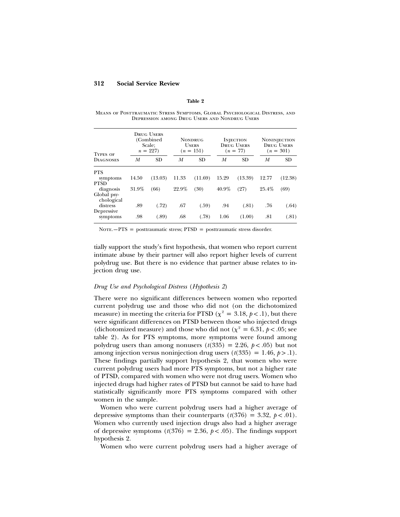#### **Table 2**

Means of Posttraumatic Stress Symptoms, Global Psychological Distress, and Depression among Drug Users and Nondrug Users

| <b>TYPES OF</b>           | <b>DRUG USERS</b><br>(Combined)<br>Scale:<br>$n = 227$ |           | <b>NONDRUG</b><br><b>USERS</b><br>$(n = 151)$ |           | <b>INJECTION</b><br><b>DRUG USERS</b><br>$(n = 77)$ |           | <b>NONINJECTION</b><br><b>DRUG USERS</b><br>$(n = 301)$ |           |
|---------------------------|--------------------------------------------------------|-----------|-----------------------------------------------|-----------|-----------------------------------------------------|-----------|---------------------------------------------------------|-----------|
| <b>DIAGNOSES</b>          | М                                                      | <b>SD</b> | M                                             | <b>SD</b> | M                                                   | <b>SD</b> | М                                                       | <b>SD</b> |
| <b>PTS</b>                |                                                        |           |                                               |           |                                                     |           |                                                         |           |
| symptoms<br><b>PTSD</b>   | 14.50                                                  | (13.03)   | 11.33                                         | (11.69)   | 15.29                                               | (13.39)   | 12.77                                                   | (12.38)   |
| diagnosis                 | 31.9%                                                  | (66)      | 22.9%                                         | (30)      | $40.9\%$                                            | (27)      | 25.4%                                                   | (69)      |
| Global psy-<br>chological |                                                        |           |                                               |           |                                                     |           |                                                         |           |
| distress                  | .89                                                    | (.72)     | .67                                           | (.59)     | .94                                                 | (.81)     | .76                                                     | (.64)     |
| Depressive<br>symptoms    | .98                                                    | (.89)     | .68                                           | (.78)     | 1.06                                                | (1.00)    | .81                                                     | (.81)     |

 $NOTE. -PTS = posttraumatic stress; PTSD = posttraumatic stress disorder.$ 

tially support the study's first hypothesis, that women who report current intimate abuse by their partner will also report higher levels of current polydrug use. But there is no evidence that partner abuse relates to injection drug use.

#### *Drug Use and Psychological Distress* (*Hypothesis 2*)

There were no significant differences between women who reported current polydrug use and those who did not (on the dichotomized measure) in meeting the criteria for PTSD ( $\chi^2 = 3.18$ ,  $p < .1$ ), but there were significant differences on PTSD between those who injected drugs (dichotomized measure) and those who did not ( $\chi^2 = 6.31$ ,  $p < .05$ ; see table 2). As for PTS symptoms, more symptoms were found among polydrug users than among nonusers  $(t(335) = 2.26, p < .05)$  but not among injection versus noninjection drug users  $(t(335) = 1.46, p > 0.1)$ . These findings partially support hypothesis 2, that women who were current polydrug users had more PTS symptoms, but not a higher rate of PTSD, compared with women who were not drug users. Women who injected drugs had higher rates of PTSD but cannot be said to have had statistically significantly more PTS symptoms compared with other women in the sample.

Women who were current polydrug users had a higher average of depressive symptoms than their counterparts  $(t(376) = 3.32, p < .01)$ . Women who currently used injection drugs also had a higher average of depressive symptoms  $(t(376) = 2.36, p < .05)$ . The findings support hypothesis 2.

Women who were current polydrug users had a higher average of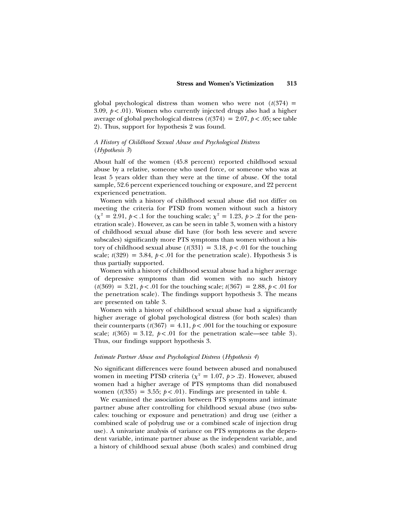global psychological distress than women who were not  $(t(374)$  = 3.09,  $p < .01$ ). Women who currently injected drugs also had a higher average of global psychological distress  $(t(374) = 2.07, p < .05$ ; see table 2). Thus, support for hypothesis 2 was found.

#### *A History of Childhood Sexual Abuse and Psychological Distress* (*Hypothesis 3*)

About half of the women (45.8 percent) reported childhood sexual abuse by a relative, someone who used force, or someone who was at least 5 years older than they were at the time of abuse. Of the total sample, 52.6 percent experienced touching or exposure, and 22 percent experienced penetration.

Women with a history of childhood sexual abuse did not differ on meeting the criteria for PTSD from women without such a history  $(\chi^2 = 2.91, \, p < 0.1$  for the touching scale;  $\chi^2 = 1.23, \, p > 0.2$  for the penetration scale). However, as can be seen in table 3, women with a history of childhood sexual abuse did have (for both less severe and severe subscales) significantly more PTS symptoms than women without a history of childhood sexual abuse  $(t(331) = 3.18, p < .01$  for the touching scale;  $t(329) = 3.84$ ,  $p < .01$  for the penetration scale). Hypothesis 3 is thus partially supported.

Women with a history of childhood sexual abuse had a higher average of depressive symptoms than did women with no such history  $(t(369) = 3.21, p < .01$  for the touching scale;  $t(367) = 2.88, p < .01$  for the penetration scale). The findings support hypothesis 3. The means are presented on table 3.

Women with a history of childhood sexual abuse had a significantly higher average of global psychological distress (for both scales) than their counterparts  $(t(367) = 4.11, p < .001$  for the touching or exposure scale;  $t(365) = 3.12$ ,  $p < .01$  for the penetration scale—see table 3). Thus, our findings support hypothesis 3.

#### *Intimate Partner Abuse and Psychological Distress* (*Hypothesis 4*)

No significant differences were found between abused and nonabused women in meeting PTSD criteria ( $\chi^2 = 1.07$ ,  $p > .2$ ). However, abused women had a higher average of PTS symptoms than did nonabused women  $(t(335) = 3.55; p < .01)$ . Findings are presented in table 4.

We examined the association between PTS symptoms and intimate partner abuse after controlling for childhood sexual abuse (two subscales: touching or exposure and penetration) and drug use (either a combined scale of polydrug use or a combined scale of injection drug use). A univariate analysis of variance on PTS symptoms as the dependent variable, intimate partner abuse as the independent variable, and a history of childhood sexual abuse (both scales) and combined drug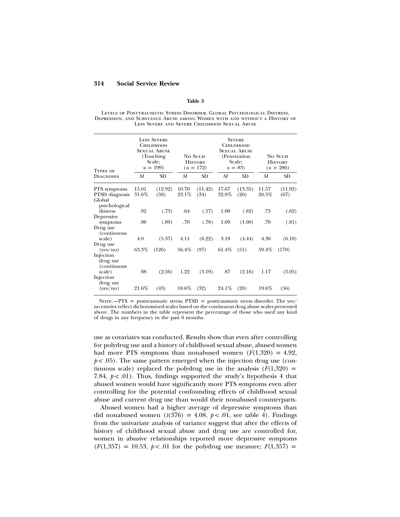#### **Table 3**

Levels of Posttraumatic Stress Disorder, Global Psychological Distress, Depression, and Substance Abuse among Women with and without a History of Less Severe and Severe Childhood Sexual Abuse

| <b>TYPES OF</b><br><b>DIAGNOSES</b>                       | <b>LESS SEVERE</b><br>Сніірноор<br><b>SEXUAL ABUSE</b><br>(Touching)<br>Scale:<br>$n = 199$ |                 | No Such<br><b>HISTORY</b><br>$(n = 172)$ |                 | <b>SEVERE</b><br>Сніірноор<br><b>SEXUAL ABUSE</b><br>(Penetration)<br>Scale:<br>$n = 83$ |                 | No Such<br><b>HISTORY</b><br>$(n = 286)$ |                 |
|-----------------------------------------------------------|---------------------------------------------------------------------------------------------|-----------------|------------------------------------------|-----------------|------------------------------------------------------------------------------------------|-----------------|------------------------------------------|-----------------|
|                                                           | M                                                                                           | <b>SD</b>       | M                                        | <b>SD</b>       | M                                                                                        | <b>SD</b>       | M                                        | <b>SD</b>       |
| PTS symptoms<br>PTSD diagnosis<br>Global<br>psychological | 15.01<br>31.6%                                                                              | (12.92)<br>(59) | 10.70<br>23.1%                           | (11.42)<br>(34) | 17.67<br>32.9%                                                                           | (13.35)<br>(26) | 11.57<br>26.5%                           | (11.92)<br>(67) |
| distress                                                  | .92                                                                                         | (.73)           | .64                                      | (.57)           | 1.00                                                                                     | (.82)           | .73                                      | (.62)           |
| Depressive<br>symptoms<br>Drug use<br>(continuous         | .98                                                                                         | (.89)           | .70                                      | (.78)           | 1.09                                                                                     | (1.00)          | .79                                      | (.81)           |
| scale)                                                    | 4.0                                                                                         | (5.37)          | 4.11                                     | (6.22)          | 3.18                                                                                     | (4.44)          | 4.30                                     | (6.10)          |
| Drug use<br>(yes/no)<br>Injection<br>drug use             | 63.3%                                                                                       | (126)           | 56.4%                                    | (97)            | 61.4%                                                                                    | (51)            | 59.4%                                    | (170)           |
| (continuous<br>scale)<br>Injection                        | .98                                                                                         | (2.56)          | 1.22                                     | (3.19)          | .87                                                                                      | (2.16)          | 1.17                                     | (3.05)          |
| drug use<br>(yes/no)                                      | 21.6%                                                                                       | (43)            | 18.6%                                    | (32)            | $24.1\%$                                                                                 | (20)            | 19.6%                                    | (56)            |

NOTE.  $-PTS =$  posttraumatic stress; PTSD = posttraumatic stress disorder. The yes/ no entries reflect dichotomized scales based on the continuous drug abuse scales presented above. The numbers in the table represent the percentage of those who used any kind of drugs in any frequency in the past 6 months.

use as covariates was conducted. Results show that even after controlling for polydrug use and a history of childhood sexual abuse, abused women had more PTS symptoms than nonabused women  $(F(1,320) = 4.92)$ ,  $p < .05$ ). The same pattern emerged when the injection drug use (continuous scale) replaced the polydrug use in the analysis  $(F(1,320) =$ 7.84,  $p < .01$ ). Thus, findings supported the study's hypothesis 4 that abused women would have significantly more PTS symptoms even after controlling for the potential confounding effects of childhood sexual abuse and current drug use than would their nonabused counterparts.

Abused women had a higher average of depressive symptoms than did nonabused women  $(t(376) = 4.08, p < 0.01$ ; see table 4). Findings from the univariate analysis of variance suggest that after the effects of history of childhood sexual abuse and drug use are controlled for, women in abusive relationships reported more depressive symptoms  $(F(1, 357) = 10.53, p < .01$  for the polydrug use measure;  $F(1, 357) =$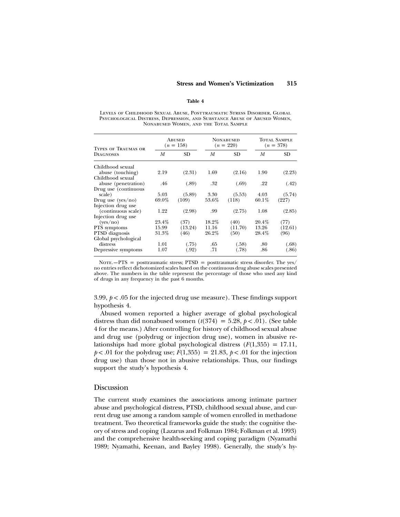#### **Table 4**

Levels of Childhood Sexual Abuse, Posttraumatic Stress Disorder, Global Psychological Distress, Depression, and Substance Abuse of Abused Women, Nonabused Women, and the Total Sample

| <b>TYPES OF TRAUMAS OR</b> | <b>ABUSED</b><br>$(n = 158)$ |         |       | <b>NONABUSED</b><br>$(n = 220)$ | <b>TOTAL SAMPLE</b><br>$(n = 378)$ |         |
|----------------------------|------------------------------|---------|-------|---------------------------------|------------------------------------|---------|
| <b>DIAGNOSES</b>           | М                            | SD      | М     | SD                              | М                                  | SD      |
| Childhood sexual           |                              |         |       |                                 |                                    |         |
| abuse (touching)           | 2.19                         | (2.31)  | 1.69  | (2.16)                          | 1.90                               | (2.23)  |
| Childhood sexual           |                              |         |       |                                 |                                    |         |
| abuse (penetration)        | .46                          | (.89)   | .32   | (.69)                           | .22                                | (.42)   |
| Drug use (continuous       |                              |         |       |                                 |                                    |         |
| scale)                     | 5.03                         | (5.89)  | 3.30  | (5.53)                          | 4.03                               | (5.74)  |
| Drug use $(yes/no)$        | 69.0%                        | (109)   | 53.6% | (118)                           | $60.1\%$                           | (227)   |
| Injection drug use         |                              |         |       |                                 |                                    |         |
| (continuous scale)         | 1.22                         | (2.98)  | .99   | (2.75)                          | 1.08                               | (2.85)  |
| Injection drug use         |                              |         |       |                                 |                                    |         |
| (yes/no)                   | 23.4%                        | (37)    | 18.2% | (40)                            | 20.4%                              | (77)    |
| PTS symptoms               | 15.99                        | (13.24) | 11.16 | (11.70)                         | 13.26                              | (12.61) |
| PTSD diagnosis             | 31.3%                        | (46)    | 26.2% | (50)                            | 28.4%                              | (96)    |
| Global psychological       |                              |         |       |                                 |                                    |         |
| distress                   | 1.01                         | (.75)   | .65   | (.58)                           | .80                                | (.68)   |
| Depressive symptoms        | 1.07                         | (.92)   | .71   | (.78)                           | .86                                | (.86)   |

NOTE.—PTS = posttraumatic stress; PTSD = posttraumatic stress disorder. The yes/ no entries reflect dichotomized scales based on the continuous drug abuse scales presented above. The numbers in the table represent the percentage of those who used any kind of drugs in any frequency in the past 6 months.

3.99,  $p < 0.05$  for the injected drug use measure). These findings support hypothesis 4.

Abused women reported a higher average of global psychological distress than did nonabused women  $(t(374) = 5.28, p < .01)$ . (See table 4 for the means.) After controlling for history of childhood sexual abuse and drug use (polydrug or injection drug use), women in abusive relationships had more global psychological distress  $(F(1,355) = 17.11)$ ,  $p < .01$  for the polydrug use;  $F(1,355) = 21.83$ ,  $p < .01$  for the injection drug use) than those not in abusive relationships. Thus, our findings support the study's hypothesis 4.

#### Discussion

The current study examines the associations among intimate partner abuse and psychological distress, PTSD, childhood sexual abuse, and current drug use among a random sample of women enrolled in methadone treatment. Two theoretical frameworks guide the study: the cognitive theory of stress and coping (Lazarus and Folkman 1984; Folkman et al. 1993) and the comprehensive health-seeking and coping paradigm (Nyamathi 1989; Nyamathi, Keenan, and Bayley 1998). Generally, the study's hy-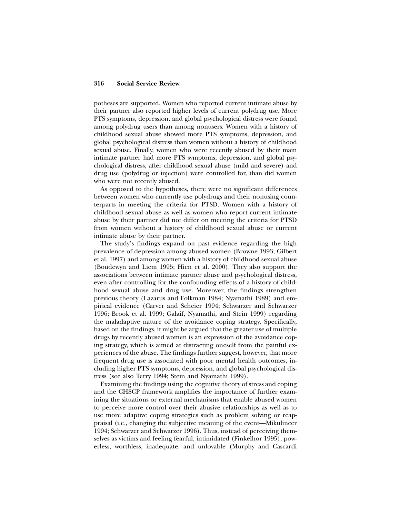potheses are supported. Women who reported current intimate abuse by their partner also reported higher levels of current polydrug use. More PTS symptoms, depression, and global psychological distress were found among polydrug users than among nonusers. Women with a history of childhood sexual abuse showed more PTS symptoms, depression, and global psychological distress than women without a history of childhood sexual abuse. Finally, women who were recently abused by their main intimate partner had more PTS symptoms, depression, and global psychological distress, after childhood sexual abuse (mild and severe) and drug use (polydrug or injection) were controlled for, than did women who were not recently abused.

As opposed to the hypotheses, there were no significant differences between women who currently use polydrugs and their nonusing counterparts in meeting the criteria for PTSD. Women with a history of childhood sexual abuse as well as women who report current intimate abuse by their partner did not differ on meeting the criteria for PTSD from women without a history of childhood sexual abuse or current intimate abuse by their partner.

The study's findings expand on past evidence regarding the high prevalence of depression among abused women (Browne 1993; Gilbert et al. 1997) and among women with a history of childhood sexual abuse (Boudewyn and Liem 1995; Hien et al. 2000). They also support the associations between intimate partner abuse and psychological distress, even after controlling for the confounding effects of a history of childhood sexual abuse and drug use. Moreover, the findings strengthen previous theory (Lazarus and Folkman 1984; Nyamathi 1989) and empirical evidence (Carver and Scheier 1994; Schwarzer and Schwarzer 1996; Brook et al. 1999; Galaif, Nyamathi, and Stein 1999) regarding the maladaptive nature of the avoidance coping strategy. Specifically, based on the findings, it might be argued that the greater use of multiple drugs by recently abused women is an expression of the avoidance coping strategy, which is aimed at distracting oneself from the painful experiences of the abuse. The findings further suggest, however, that more frequent drug use is associated with poor mental health outcomes, including higher PTS symptoms, depression, and global psychological distress (see also Terry 1994; Stein and Nyamathi 1999).

Examining the findings using the cognitive theory of stress and coping and the CHSCP framework amplifies the importance of further examining the situations or external mechanisms that enable abused women to perceive more control over their abusive relationships as well as to use more adaptive coping strategies such as problem solving or reappraisal (i.e., changing the subjective meaning of the event—Mikulincer 1994; Schwarzer and Schwarzer 1996). Thus, instead of perceiving themselves as victims and feeling fearful, intimidated (Finkelhor 1995), powerless, worthless, inadequate, and unlovable (Murphy and Cascardi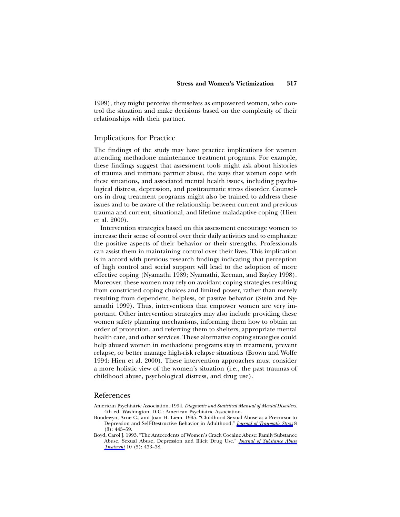1999), they might perceive themselves as empowered women, who control the situation and make decisions based on the complexity of their relationships with their partner.

#### Implications for Practice

The findings of the study may have practice implications for women attending methadone maintenance treatment programs. For example, these findings suggest that assessment tools might ask about histories of trauma and intimate partner abuse, the ways that women cope with these situations, and associated mental health issues, including psychological distress, depression, and posttraumatic stress disorder. Counselors in drug treatment programs might also be trained to address these issues and to be aware of the relationship between current and previous trauma and current, situational, and lifetime maladaptive coping (Hien et al. 2000).

Intervention strategies based on this assessment encourage women to increase their sense of control over their daily activities and to emphasize the positive aspects of their behavior or their strengths. Professionals can assist them in maintaining control over their lives. This implication is in accord with previous research findings indicating that perception of high control and social support will lead to the adoption of more effective coping (Nyamathi 1989; Nyamathi, Keenan, and Bayley 1998). Moreover, these women may rely on avoidant coping strategies resulting from constricted coping choices and limited power, rather than merely resulting from dependent, helpless, or passive behavior (Stein and Nyamathi 1999). Thus, interventions that empower women are very important. Other intervention strategies may also include providing these women safety planning mechanisms, informing them how to obtain an order of protection, and referring them to shelters, appropriate mental health care, and other services. These alternative coping strategies could help abused women in methadone programs stay in treatment, prevent relapse, or better manage high-risk relapse situations (Brown and Wolfe 1994; Hien et al. 2000). These intervention approaches must consider a more holistic view of the women's situation (i.e., the past traumas of childhood abuse, psychological distress, and drug use).

#### References

- American Psychiatric Association. 1994. *Diagnostic and Statistical Manual of Mental Disorders*. 4th ed. Washington, D.C.: American Psychiatric Association.
- Boudewyn, Arne C., and Joan H. Liem. 1995. "Childhood Sexual Abuse as a Precursor to Depression and Self-Destructive Behavior in Adulthood." *[Journal of Traumatic Stress](https://www.journals.uchicago.edu/action/showLinks?doi=10.1086%2F339665&crossref=10.1002%2Fjts.2490080307&citationId=p_2)* 8  $(3): 445 - 59.$
- Boyd, Carol J. 1993. "The Antecedents of Women's Crack Cocaine Abuse: Family Substance Abuse, Sexual Abuse, Depression and Illicit Drug Use." *[Journal of Substance Abuse](https://www.journals.uchicago.edu/action/showLinks?doi=10.1086%2F339665&crossref=10.1016%2F0740-5472%2893%2990002-J&citationId=p_3) [Treatment](https://www.journals.uchicago.edu/action/showLinks?doi=10.1086%2F339665&crossref=10.1016%2F0740-5472%2893%2990002-J&citationId=p_3)* 10 (5): 433–38.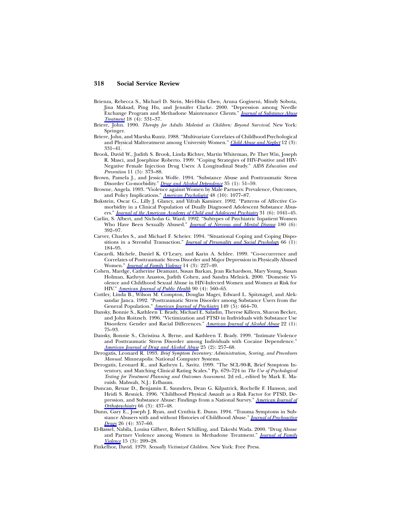- Brienza, Rebecca S., Michael D. Stein, Mei-Hsiu Chen, Aruna Gogineni, Mindy Sobota, Jina Maksad, Ping Hu, and Jennifer Clarke. 2000. "Depression among Needle Exchange Program and Methadone Maintenance Clients." *[Journal of Substance Abuse](https://www.journals.uchicago.edu/action/showLinks?doi=10.1086%2F339665&crossref=10.1016%2FS0740-5472%2899%2900084-7&citationId=p_4) [Treatment](https://www.journals.uchicago.edu/action/showLinks?doi=10.1086%2F339665&crossref=10.1016%2FS0740-5472%2899%2900084-7&citationId=p_4)* 18 (4): 331–37.
- Briere, John. 1990. *Therapy for Adults Molested as Children: Beyond Survival*. New York: Springer.
- Briere, John, and Marsha Runtz. 1988. "Multivariate Correlates of Childhood Psychological and Physical Maltreatment among University Women." *[Child Abuse and Neglect](https://www.journals.uchicago.edu/action/showLinks?doi=10.1086%2F339665&crossref=10.1016%2F0145-2134%2888%2990046-4&citationId=p_6)* 12 (3): 331–41.
- Brook, David W., Judith S. Brook, Linda Richter, Martin Whiteman, Pe Thet Win, Joseph R. Masci, and Josephine Roberto. 1999. "Coping Strategies of HIV-Positive and HIV-Negative Female Injection Drug Users: A Longitudinal Study." *AIDS Education and Prevention* 11 (5): 373–88.
- Brown, Pamela J., and Jessica Wolfe. 1994. "Substance Abuse and Posttraumatic Stress Disorder Co-morbidity." *[Drug and Alcohol Dependence](https://www.journals.uchicago.edu/action/showLinks?doi=10.1086%2F339665&crossref=10.1016%2F0376-8716%2894%2990110-4&citationId=p_8)* 35 (1): 51-59.
- Browne, Angela. 1993. "Violence against Women by Male Partners: Prevalence, Outcomes, and Policy Implications." *[American Psychologist](https://www.journals.uchicago.edu/action/showLinks?doi=10.1086%2F339665&crossref=10.1037%2F0003-066X.48.10.1077&citationId=p_9)* 48 (10): 1077–87.
- Bukstein, Oscar G., Lilly J. Glancy, and Yifrah Kaminer. 1992. "Patterns of Affective Comorbidity in a Clinical Population of Dually Diagnosed Adolescent Substance Abusers." *[Journal of the American Academy of Child and Adolescent Psychiatry](https://www.journals.uchicago.edu/action/showLinks?doi=10.1086%2F339665&crossref=10.1097%2F00004583-199211000-00007&citationId=p_10)* 31 (6): 1041–45.
- Carlin, S. Albert, and Nicholas G. Ward. 1992. "Subtypes of Psychiatric Inpatient Women Who Have Been Sexually Abused." *[Journal of Nervous and Mental Disease](https://www.journals.uchicago.edu/action/showLinks?doi=10.1086%2F339665&crossref=10.1097%2F00005053-199206000-00009&citationId=p_11)* 180 (6): 392–97.
- Carver, Charles S., and Michael F. Scheier. 1994. "Situational Coping and Coping Dispositions in a Stressful Transaction." *[Journal of Personality and Social Psychology](https://www.journals.uchicago.edu/action/showLinks?doi=10.1086%2F339665&crossref=10.1037%2F0022-3514.66.1.184&citationId=p_12)* 66 (1): 184–95.
- Cascardi, Michele, Daniel K. O'Leary, and Karin A. Schlee. 1999. "Co-occurrence and Correlates of Posttraumatic Stress Disorder and Major Depression in Physically Abused Women." *[Journal of Family Violence](https://www.journals.uchicago.edu/action/showLinks?doi=10.1086%2F339665&crossref=10.1023%2FA%3A1022827915757&citationId=p_13)* 14 (3): 227–49.
- Cohen, Mardge, Catherine Deamant, Susan Barkan, Jean Richardson, Mary Young, Susan Holman, Kathryn Anastos, Judith Cohen, and Sandra Melnick. 2000. "Domestic Violence and Childhood Sexual Abuse in HIV-Infected Women and Women at Risk for HIV." *[American Journal of Public Health](https://www.journals.uchicago.edu/action/showLinks?doi=10.1086%2F339665&crossref=10.2105%2FAJPH.90.4.560&citationId=p_14)* 90 (4): 560–65.
- Cottler, Linda B., Wilson M. Compton, Douglas Mager, Edward L. Spitznagel, and Aleksandar Janca. 1992. "Posttraumatic Stress Disorder among Substance Users from the General Population." *[American Journal of Psychiatry](https://www.journals.uchicago.edu/action/showLinks?doi=10.1086%2F339665&crossref=10.1176%2Fajp.149.5.664&citationId=p_15)* 149 (5): 664–70.
- Dansky, Bonnie S., Kathleen T. Brady, Michael E. Saladin, Therese Killeen, Sharon Becker, and John Roitzsch. 1996. "Victimization and PTSD in Individuals with Substance Use Disorders: Gender and Racial Differences." *[American Journal of Alcohol Abuse](https://www.journals.uchicago.edu/action/showLinks?doi=10.1086%2F339665&crossref=10.3109%2F00952999609001646&citationId=p_16)* 22 (1): 75–93.
- Dansky, Bonnie S., Christina A. Byrne, and Kathleen T. Brady. 1999. "Intimate Violence and Posttraumatic Stress Disorder among Individuals with Cocaine Dependence." *[American Journal of Drug and Alcohol Abuse](https://www.journals.uchicago.edu/action/showLinks?doi=10.1086%2F339665&crossref=10.1081%2FADA-100101859&citationId=p_17)* 25 (2): 257–68.
- Derogatis, Leonard R. 1993. *Brief Symptom Inventory: Administration, Scoring, and Procedures Manual*. Minneapolis: National Computer Systems.
- Derogatis, Leonard R., and Kathryn L. Savitz. 1999. "The SCL-90-R, Brief Symptom Inventory, and Matching Clinical Rating Scales." Pp. 679–724 in *The Use of Psychological Testing for Treatment Planning and Outcomes Assessment*. 2d ed., edited by Mark E. Maruish. Mahwah, N.J.: Erlbaum.
- Duncan, Renae D., Benjamin E. Saunders, Dean G. Kilpatrick, Rochelle F. Hanson, and Heidi S. Resnick. 1996. "Childhood Physical Assault as a Risk Factor for PTSD, Depression, and Substance Abuse: Findings from a National Survey." *[American Journal of](https://www.journals.uchicago.edu/action/showLinks?doi=10.1086%2F339665&crossref=10.1037%2Fh0080194&citationId=p_20) [Orthopsychiatry](https://www.journals.uchicago.edu/action/showLinks?doi=10.1086%2F339665&crossref=10.1037%2Fh0080194&citationId=p_20)* 66 (3): 437–48.
- Dunn, Gary E., Joseph J. Ryan, and Cynthia E. Dunn. 1994. "Trauma Symptoms in Substance Abusers with and without Histories of Childhood Abuse." *[Journal of Psychoactive](https://www.journals.uchicago.edu/action/showLinks?doi=10.1086%2F339665&crossref=10.1080%2F02791072.1994.10472455&citationId=p_21) [Drugs](https://www.journals.uchicago.edu/action/showLinks?doi=10.1086%2F339665&crossref=10.1080%2F02791072.1994.10472455&citationId=p_21)* 26 (4): 357–60.
- El-Bassel, Nabila, Louisa Gilbert, Robert Schilling, and Takeshi Wada. 2000. "Drug Abuse and Partner Violence among Women in Methadone Treatment." *[Journal of Family](https://www.journals.uchicago.edu/action/showLinks?doi=10.1086%2F339665&crossref=10.1023%2FA%3A1007532917759&citationId=p_22) [Violence](https://www.journals.uchicago.edu/action/showLinks?doi=10.1086%2F339665&crossref=10.1023%2FA%3A1007532917759&citationId=p_22)* 15 (3): 209–28.
- Finkelhor, David. 1979. *Sexually Victimized Children*. New York: Free Press.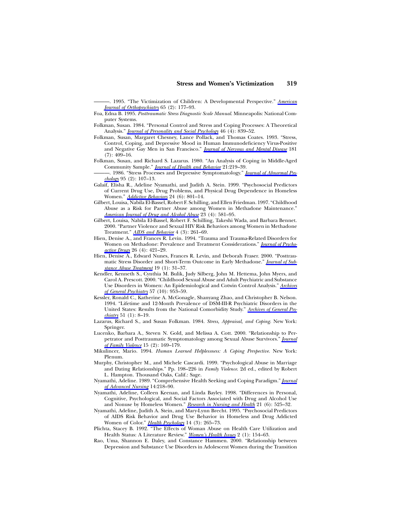———. 1995. "The Victimization of Children: A Developmental Perspective." *[American](https://www.journals.uchicago.edu/action/showLinks?doi=10.1086%2F339665&crossref=10.1037%2Fh0079618&citationId=p_24) [Journal of Orthopsychiatry](https://www.journals.uchicago.edu/action/showLinks?doi=10.1086%2F339665&crossref=10.1037%2Fh0079618&citationId=p_24)* 65 (2): 177–93.

- Foa, Edna B. 1995. *Posttraumatic Stress Diagnostic Scale Manual*. Minneapolis: National Computer Systems.
- Folkman, Susan. 1984. "Personal Control and Stress and Coping Processes: A Theoretical Analysis." *[Journal of Personality and Social Psychology](https://www.journals.uchicago.edu/action/showLinks?doi=10.1086%2F339665&crossref=10.1037%2F0022-3514.46.4.839&citationId=p_26)* 46 (4): 839–52.
- Folkman, Susan, Margaret Chesney, Lance Pollack, and Thomas Coates. 1993. "Stress, Control, Coping, and Depressive Mood in Human Immunodeficiency Virus-Positive and Negative Gay Men in San Francisco." *[Journal of Nervous and Mental Disease](https://www.journals.uchicago.edu/action/showLinks?doi=10.1086%2F339665&crossref=10.1097%2F00005053-199307000-00002&citationId=p_27)* 181  $(7): 409-16.$
- Folkman, Susan, and Richard S. Lazarus. 1980. "An Analysis of Coping in Middle-Aged Community Sample." *[Journal of Health and Behavior](https://www.journals.uchicago.edu/action/showLinks?doi=10.1086%2F339665&crossref=10.2307%2F2136617&citationId=p_28)* 21:219–39.
- -. 1986. "Stress Processes and Depressive Symptomatology." *[Journal of Abnormal Psy](https://www.journals.uchicago.edu/action/showLinks?doi=10.1086%2F339665&crossref=10.1037%2F0021-843X.95.2.107&citationId=p_29)[chology](https://www.journals.uchicago.edu/action/showLinks?doi=10.1086%2F339665&crossref=10.1037%2F0021-843X.95.2.107&citationId=p_29)* 95 (2): 107–13.
- Galaif, Elisha R., Adeline Nyamathi, and Judith A. Stein. 1999. "Psychosocial Predictors of Current Drug Use, Drug Problems, and Physical Drug Dependence in Homeless Women." *[Addictive Behaviors](https://www.journals.uchicago.edu/action/showLinks?doi=10.1086%2F339665&crossref=10.1016%2FS0306-4603%2899%2900038-6&citationId=p_30)* 24 (6): 801–14.
- Gilbert, Louisa, Nabila El-Bassel, Robert F. Schilling, and Ellen Friedman. 1997. "Childhood Abuse as a Risk for Partner Abuse among Women in Methadone Maintenance." *[American Journal of Drug and Alcohol Abuse](https://www.journals.uchicago.edu/action/showLinks?doi=10.1086%2F339665&crossref=10.3109%2F00952999709016897&citationId=p_31)* 23 (4): 581–95.
- Gilbert, Louisa, Nabila El-Bassel, Robert F. Schilling, Takeshi Wada, and Barbara Bennet. 2000. "Partner Violence and Sexual HIV Risk Behaviors among Women in Methadone Treatment." *[AIDS and Behavior](https://www.journals.uchicago.edu/action/showLinks?doi=10.1086%2F339665&crossref=10.1023%2FA%3A1009568718804&citationId=p_33)* 4 (3): 261–69.
- Hien, Denise A., and Frances R. Levin. 1994. "Trauma and Trauma-Related Disorders for Women on Methadone: Prevalence and Treatment Considerations." *[Journal of Psycho](https://www.journals.uchicago.edu/action/showLinks?doi=10.1086%2F339665&crossref=10.1080%2F02791072.1994.10472462&citationId=p_34)[active Drugs](https://www.journals.uchicago.edu/action/showLinks?doi=10.1086%2F339665&crossref=10.1080%2F02791072.1994.10472462&citationId=p_34)* 26 (4): 421–29.
- Hien, Denise A., Edward Nunes, Frances R. Levin, and Deborah Fraser. 2000. "Posttraumatic Stress Disorder and Short-Term Outcome in Early Methadone." *[Journal of Sub](https://www.journals.uchicago.edu/action/showLinks?doi=10.1086%2F339665&crossref=10.1016%2FS0740-5472%2899%2900088-4&citationId=p_35)[stance Abuse Treatment](https://www.journals.uchicago.edu/action/showLinks?doi=10.1086%2F339665&crossref=10.1016%2FS0740-5472%2899%2900088-4&citationId=p_35)* 19 (1): 31–37.
- Kendler, Kenneth S., Cynthia M. Bulik, Judy Silberg, John M. Hettema, John Myers, and Carol A. Prescott. 2000. "Childhood Sexual Abuse and Adult Psychiatric and Substance Use Disorders in Women: An Epidemiological and Cotwin Control Analysis." *[Archives](https://www.journals.uchicago.edu/action/showLinks?doi=10.1086%2F339665&crossref=10.1001%2Farchpsyc.57.10.953&citationId=p_36) [of General Psychiatry](https://www.journals.uchicago.edu/action/showLinks?doi=10.1086%2F339665&crossref=10.1001%2Farchpsyc.57.10.953&citationId=p_36)* 57 (10): 953–59.
- Kessler, Ronald C., Katherine A. McGonagle, Shanyang Zhao, and Christopher B. Nelson. 1994. "Lifetime and 12-Month Prevalence of DSM-III-R Psychiatric Disorders in the United States: Results from the National Comorbidity Study." *[Archives of General Psy](https://www.journals.uchicago.edu/action/showLinks?doi=10.1086%2F339665&crossref=10.1001%2Farchpsyc.1994.03950010008002&citationId=p_38)[chiatry](https://www.journals.uchicago.edu/action/showLinks?doi=10.1086%2F339665&crossref=10.1001%2Farchpsyc.1994.03950010008002&citationId=p_38)* 51 (1): 8–19.
- Lazarus, Richard S., and Susan Folkman. 1984. *Stress, Appraisal, and Coping*. New York: Springer.
- Lucenko, Barbara A., Steven N. Gold, and Melissa A. Cott. 2000. "Relationship to Perpetrator and Posttraumatic Symptomatology among Sexual Abuse Survivors." *[Journal](https://www.journals.uchicago.edu/action/showLinks?doi=10.1086%2F339665&crossref=10.1023%2FA%3A1007542911767&citationId=p_40) [of Family Violence](https://www.journals.uchicago.edu/action/showLinks?doi=10.1086%2F339665&crossref=10.1023%2FA%3A1007542911767&citationId=p_40)* 15 (2): 169–179.
- Mikulincer, Mario. 1994. *Human Learned Helplessness: A Coping Perspective*. New York: Plenum.
- Murphy, Christopher M., and Michele Cascardi. 1999. "Psychological Abuse in Marriage and Dating Relationships." Pp. 198–226 in *Family Violence*. 2d ed., edited by Robert L. Hampton. Thousand Oaks, Calif.: Sage.
- Nyamathi, Adeline. 1989. "Comprehensive Health Seeking and Coping Paradigm." *[Journal](https://www.journals.uchicago.edu/action/showLinks?doi=10.1086%2F339665&crossref=10.1111%2Fj.1365-2648.1989.tb03415.x&citationId=p_43) [of Advanced Nursing](https://www.journals.uchicago.edu/action/showLinks?doi=10.1086%2F339665&crossref=10.1111%2Fj.1365-2648.1989.tb03415.x&citationId=p_43)* 14:218–90.
- Nyamathi, Adeline, Colleen Keenan, and Linda Bayley. 1998. "Differences in Personal, Cognitive, Psychological, and Social Factors Associated with Drug and Alcohol Use and Nonuse by Homeless Women." *[Research in Nursing and Health](https://www.journals.uchicago.edu/action/showLinks?doi=10.1086%2F339665&crossref=10.1002%2F%28SICI%291098-240X%28199812%2921%3A6%3C525%3A%3AAID-NUR6%3E3.0.CO%3B2-G&citationId=p_44)* 21 (6): 525–32.
- Nyamathi, Adeline, Judith A. Stein, and Mary-Lynn Brecht. 1995. "Psychosocial Predictors of AIDS Risk Behavior and Drug Use Behavior in Homeless and Drug Addicted Women of Color." *[Health Psychology](https://www.journals.uchicago.edu/action/showLinks?doi=10.1086%2F339665&crossref=10.1037%2F0278-6133.14.3.265&citationId=p_45)* 14 (3): 265–73.
- Plichta, Stacey B. 1992. "The Effects of Woman Abuse on Health Care Utilization and Health Status: A Literature Review." *[Women's Health Issues](https://www.journals.uchicago.edu/action/showLinks?doi=10.1086%2F339665&crossref=10.1016%2FS1049-3867%2805%2980264-6&citationId=p_46)* 2 (1): 154–63.
- Rao, Uma, Shannon E. Daley, and Constance Hammen. 2000. "Relationship between Depression and Substance Use Disorders in Adolescent Women during the Transition